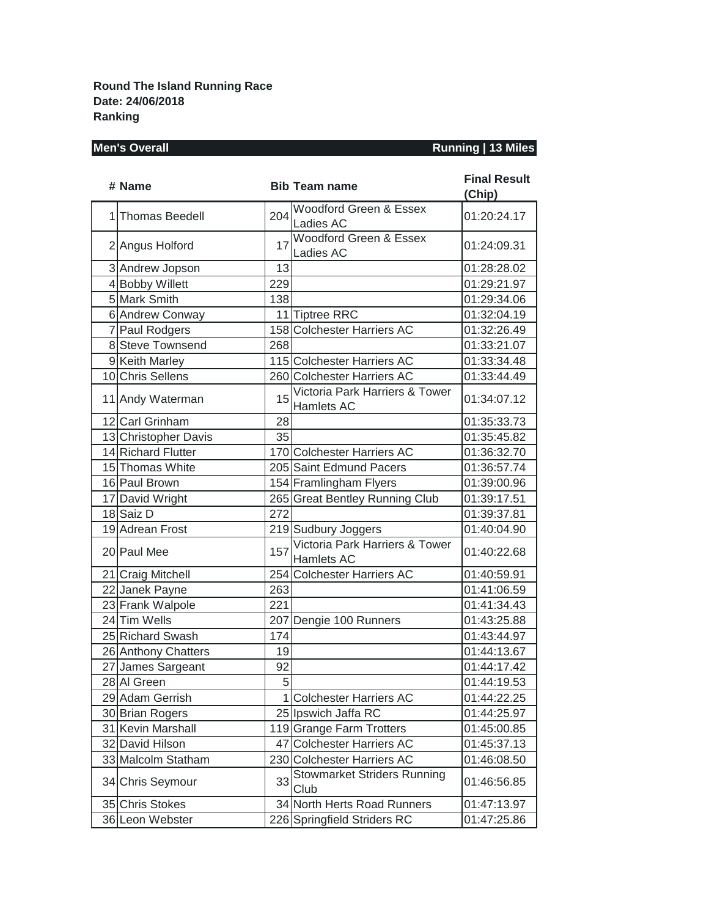**Round The Island Running Race Date: 24/06/2018 Ranking**

### **Men's Overall Running | 13 Miles**

| # Name               |     | <b>Bib Team name</b>                         | <b>Final Result</b><br>(Chip) |
|----------------------|-----|----------------------------------------------|-------------------------------|
| 1 Thomas Beedell     | 204 | Woodford Green & Essex<br>Ladies AC          | 01:20:24.17                   |
| 2 Angus Holford      | 17  | Woodford Green & Essex<br>Ladies AC          | 01:24:09.31                   |
| 3 Andrew Jopson      | 13  |                                              | 01:28:28.02                   |
| 4 Bobby Willett      | 229 |                                              | 01:29:21.97                   |
| 5 Mark Smith         | 138 |                                              | 01:29:34.06                   |
| 6 Andrew Conway      |     | 11 Tiptree RRC                               | 01:32:04.19                   |
| 7 Paul Rodgers       |     | 158 Colchester Harriers AC                   | 01:32:26.49                   |
| 8 Steve Townsend     | 268 |                                              | 01:33:21.07                   |
| 9 Keith Marley       |     | 115 Colchester Harriers AC                   | 01:33:34.48                   |
| 10 Chris Sellens     |     | 260 Colchester Harriers AC                   | 01:33:44.49                   |
| 11 Andy Waterman     | 15  | Victoria Park Harriers & Tower<br>Hamlets AC | 01:34:07.12                   |
| 12 Carl Grinham      | 28  |                                              | 01:35:33.73                   |
| 13 Christopher Davis | 35  |                                              | 01:35:45.82                   |
| 14 Richard Flutter   |     | 170 Colchester Harriers AC                   | 01:36:32.70                   |
| 15 Thomas White      |     | 205 Saint Edmund Pacers                      | 01:36:57.74                   |
| 16 Paul Brown        |     | 154 Framlingham Flyers                       | 01:39:00.96                   |
| 17 David Wright      |     | 265 Great Bentley Running Club               | 01:39:17.51                   |
| 18 Saiz D            | 272 |                                              | 01:39:37.81                   |
| 19 Adrean Frost      |     | 219 Sudbury Joggers                          | 01:40:04.90                   |
| 20 Paul Mee          | 157 | Victoria Park Harriers & Tower<br>Hamlets AC | 01:40:22.68                   |
| 21 Craig Mitchell    |     | 254 Colchester Harriers AC                   | 01:40:59.91                   |
| 22 Janek Payne       | 263 |                                              | 01:41:06.59                   |
| 23 Frank Walpole     | 221 |                                              | 01:41:34.43                   |
| 24 Tim Wells         |     | 207 Dengie 100 Runners                       | 01:43:25.88                   |
| 25 Richard Swash     | 174 |                                              | 01:43:44.97                   |
| 26 Anthony Chatters  | 19  |                                              | 01:44:13.67                   |
| 27 James Sargeant    | 92  |                                              | 01:44:17.42                   |
| 28 Al Green          | 5   |                                              | 01:44:19.53                   |
| 29 Adam Gerrish      |     | 1 Colchester Harriers AC                     | 01:44:22.25                   |
| 30 Brian Rogers      |     | 25 Ipswich Jaffa RC                          | 01:44:25.97                   |
| 31 Kevin Marshall    |     | 119 Grange Farm Trotters                     | 01:45:00.85                   |
| 32 David Hilson      |     | 47 Colchester Harriers AC                    | 01:45:37.13                   |
| 33 Malcolm Statham   |     | 230 Colchester Harriers AC                   | 01:46:08.50                   |
| 34 Chris Seymour     | 33  | <b>Stowmarket Striders Running</b><br>Club   | 01:46:56.85                   |
| 35 Chris Stokes      |     | 34 North Herts Road Runners                  | 01:47:13.97                   |
| 36 Leon Webster      |     | 226 Springfield Striders RC                  | 01:47:25.86                   |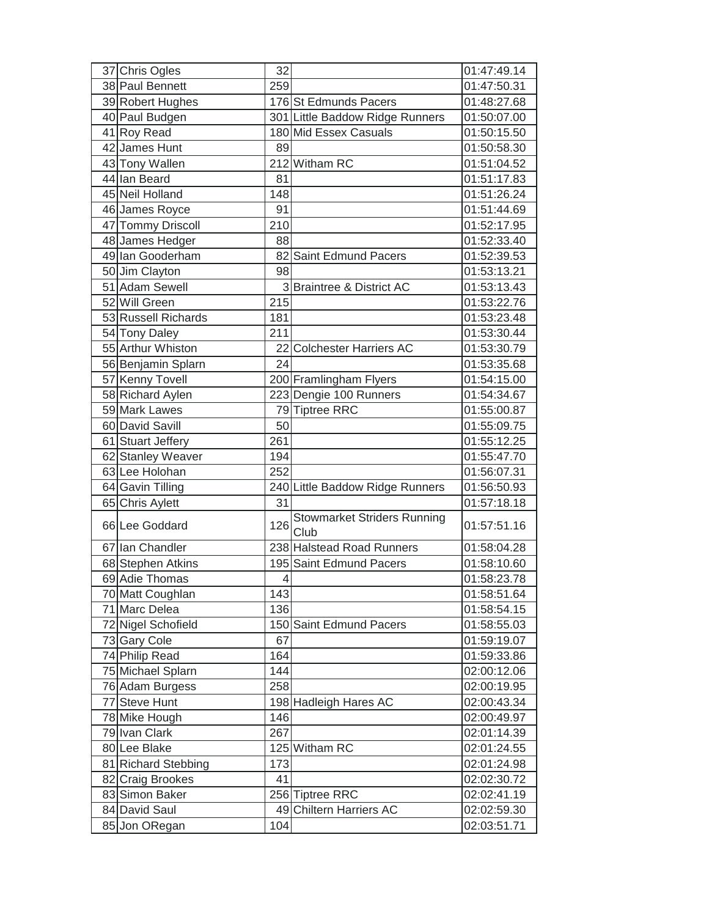| 37 Chris Ogles      | 32             |                                            | 01:47:49.14 |
|---------------------|----------------|--------------------------------------------|-------------|
| 38 Paul Bennett     | 259            |                                            | 01:47:50.31 |
| 39 Robert Hughes    |                | 176 St Edmunds Pacers                      | 01:48:27.68 |
| 40 Paul Budgen      |                | 301 Little Baddow Ridge Runners            | 01:50:07.00 |
| 41 Roy Read         |                | 180 Mid Essex Casuals                      | 01:50:15.50 |
| 42 James Hunt       | 89             |                                            | 01:50:58.30 |
| 43 Tony Wallen      |                | 212 Witham RC                              | 01:51:04.52 |
| 44 Ian Beard        | 81             |                                            | 01:51:17.83 |
| 45 Neil Holland     | 148            |                                            | 01:51:26.24 |
| 46 James Royce      | 91             |                                            | 01:51:44.69 |
| 47 Tommy Driscoll   | 210            |                                            | 01:52:17.95 |
| 48 James Hedger     | 88             |                                            | 01:52:33.40 |
| 49 Ian Gooderham    |                | 82 Saint Edmund Pacers                     | 01:52:39.53 |
| 50 Jim Clayton      | 98             |                                            | 01:53:13.21 |
| 51 Adam Sewell      | 3              | <b>Braintree &amp; District AC</b>         | 01:53:13.43 |
| 52 Will Green       | 215            |                                            | 01:53:22.76 |
| 53 Russell Richards | 181            |                                            | 01:53:23.48 |
| 54 Tony Daley       | 211            |                                            | 01:53:30.44 |
| 55 Arthur Whiston   |                | 22 Colchester Harriers AC                  | 01:53:30.79 |
| 56 Benjamin Splarn  | 24             |                                            | 01:53:35.68 |
| 57 Kenny Tovell     |                | 200 Framlingham Flyers                     | 01:54:15.00 |
| 58 Richard Aylen    |                | 223 Dengie 100 Runners                     | 01:54:34.67 |
| 59 Mark Lawes       |                | 79 Tiptree RRC                             | 01:55:00.87 |
| 60 David Savill     | 50             |                                            | 01:55:09.75 |
| 61 Stuart Jeffery   | 261            |                                            | 01:55:12.25 |
| 62 Stanley Weaver   | 194            |                                            | 01:55:47.70 |
| 63 Lee Holohan      | 252            |                                            | 01:56:07.31 |
| 64 Gavin Tilling    |                | 240 Little Baddow Ridge Runners            | 01:56:50.93 |
| 65 Chris Aylett     | 31             |                                            | 01:57:18.18 |
| 66 Lee Goddard      | 126            | <b>Stowmarket Striders Running</b><br>Club | 01:57:51.16 |
| 67 Ian Chandler     |                | 238 Halstead Road Runners                  | 01:58:04.28 |
| 68 Stephen Atkins   |                | 195 Saint Edmund Pacers                    | 01:58:10.60 |
| 69 Adie Thomas      | $\overline{4}$ |                                            | 01:58:23.78 |
| 70 Matt Coughlan    | 143            |                                            | 01:58:51.64 |
| 71 Marc Delea       | 136            |                                            | 01:58:54.15 |
| 72 Nigel Schofield  |                | 150 Saint Edmund Pacers                    | 01:58:55.03 |
| 73 Gary Cole        | 67             |                                            | 01:59:19.07 |
| 74 Philip Read      | 164            |                                            | 01:59:33.86 |
| 75 Michael Splarn   | 144            |                                            | 02:00:12.06 |
| 76 Adam Burgess     | 258            |                                            | 02:00:19.95 |
| 77 Steve Hunt       |                | 198 Hadleigh Hares AC                      | 02:00:43.34 |
| 78 Mike Hough       | 146            |                                            | 02:00:49.97 |
| 79 Ivan Clark       | 267            |                                            | 02:01:14.39 |
| 80 Lee Blake        |                | 125 Witham RC                              | 02:01:24.55 |
| 81 Richard Stebbing | 173            |                                            | 02:01:24.98 |
| 82 Craig Brookes    | 41             |                                            | 02:02:30.72 |
| 83 Simon Baker      |                | 256 Tiptree RRC                            | 02:02:41.19 |
| 84 David Saul       |                | 49 Chiltern Harriers AC                    | 02:02:59.30 |
| 85 Jon ORegan       | 104            |                                            | 02:03:51.71 |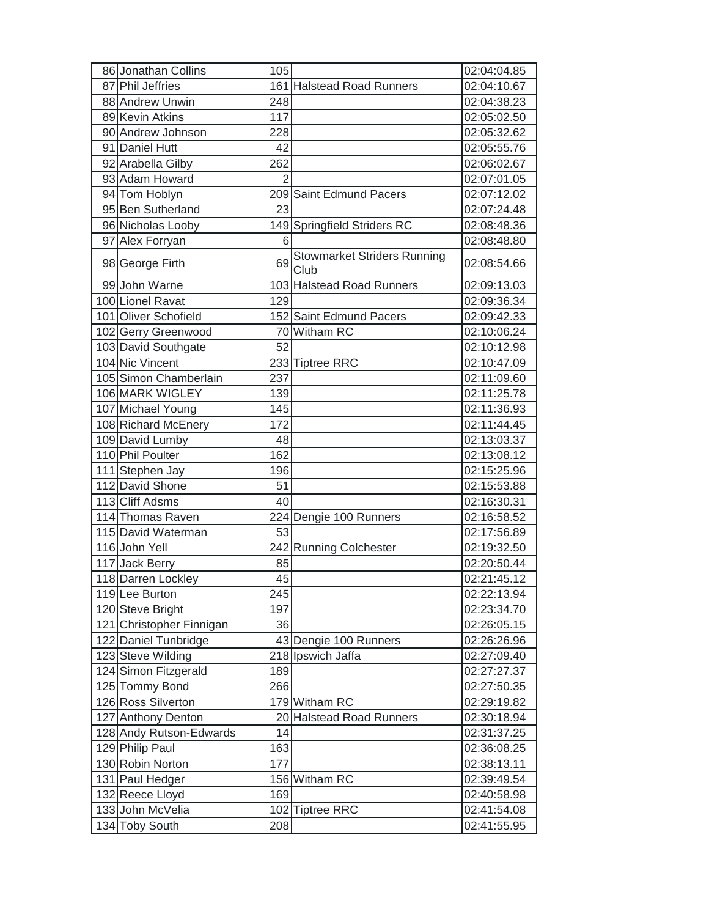| 86 Jonathan Collins      | 105            |                                            | 02:04:04.85 |
|--------------------------|----------------|--------------------------------------------|-------------|
| 87 Phil Jeffries         |                | 161 Halstead Road Runners                  | 02:04:10.67 |
| 88 Andrew Unwin          | 248            |                                            | 02:04:38.23 |
| 89 Kevin Atkins          | 117            |                                            | 02:05:02.50 |
| 90 Andrew Johnson        | 228            |                                            | 02:05:32.62 |
| 91 Daniel Hutt           | 42             |                                            | 02:05:55.76 |
| 92 Arabella Gilby        | 262            |                                            | 02:06:02.67 |
| 93 Adam Howard           | $\overline{2}$ |                                            | 02:07:01.05 |
| 94 Tom Hoblyn            |                | 209 Saint Edmund Pacers                    | 02:07:12.02 |
| 95 Ben Sutherland        | 23             |                                            | 02:07:24.48 |
| 96 Nicholas Looby        |                | 149 Springfield Striders RC                | 02:08:48.36 |
| 97 Alex Forryan          | 6              |                                            | 02:08:48.80 |
| 98 George Firth          | 69             | <b>Stowmarket Striders Running</b><br>Club | 02:08:54.66 |
| 99 John Warne            |                | 103 Halstead Road Runners                  | 02:09:13.03 |
| 100 Lionel Ravat         | 129            |                                            | 02:09:36.34 |
| 101 Oliver Schofield     |                | 152 Saint Edmund Pacers                    | 02:09:42.33 |
| 102 Gerry Greenwood      |                | 70 Witham RC                               | 02:10:06.24 |
| 103 David Southgate      | 52             |                                            | 02:10:12.98 |
| 104 Nic Vincent          |                | 233 Tiptree RRC                            | 02:10:47.09 |
| 105 Simon Chamberlain    | 237            |                                            | 02:11:09.60 |
| 106 MARK WIGLEY          | 139            |                                            | 02:11:25.78 |
| 107 Michael Young        | 145            |                                            | 02:11:36.93 |
| 108 Richard McEnery      | 172            |                                            | 02:11:44.45 |
| 109 David Lumby          | 48             |                                            | 02:13:03.37 |
| 110 Phil Poulter         | 162            |                                            | 02:13:08.12 |
| 111 Stephen Jay          | 196            |                                            | 02:15:25.96 |
| 112 David Shone          | 51             |                                            | 02:15:53.88 |
| 113 Cliff Adsms          | 40             |                                            | 02:16:30.31 |
| 114 Thomas Raven         |                | 224 Dengie 100 Runners                     | 02:16:58.52 |
| 115 David Waterman       | 53             |                                            | 02:17:56.89 |
| 116 John Yell            |                | 242 Running Colchester                     | 02:19:32.50 |
| 117 Jack Berry           | 85             |                                            | 02:20:50.44 |
| 118 Darren Lockley       | 45             |                                            | 02:21:45.12 |
| 119 Lee Burton           | 245            |                                            | 02:22:13.94 |
| 120 Steve Bright         | 197            |                                            | 02:23:34.70 |
| 121 Christopher Finnigan | 36             |                                            | 02:26:05.15 |
| 122 Daniel Tunbridge     |                | 43 Dengie 100 Runners                      | 02:26:26.96 |
| 123 Steve Wilding        |                | 218 Ipswich Jaffa                          | 02:27:09.40 |
| 124 Simon Fitzgerald     | 189            |                                            | 02:27:27.37 |
| 125 Tommy Bond           | 266            |                                            | 02:27:50.35 |
| 126 Ross Silverton       |                | 179 Witham RC                              | 02:29:19.82 |
| 127 Anthony Denton       |                | 20 Halstead Road Runners                   | 02:30:18.94 |
| 128 Andy Rutson-Edwards  | 14             |                                            | 02:31:37.25 |
| 129 Philip Paul          | 163            |                                            | 02:36:08.25 |
| 130 Robin Norton         | 177            |                                            | 02:38:13.11 |
| 131 Paul Hedger          |                | 156 Witham RC                              | 02:39:49.54 |
| 132 Reece Lloyd          | 169            |                                            | 02:40:58.98 |
| 133 John McVelia         |                | 102 Tiptree RRC                            | 02:41:54.08 |
| 134 Toby South           | 208            |                                            | 02:41:55.95 |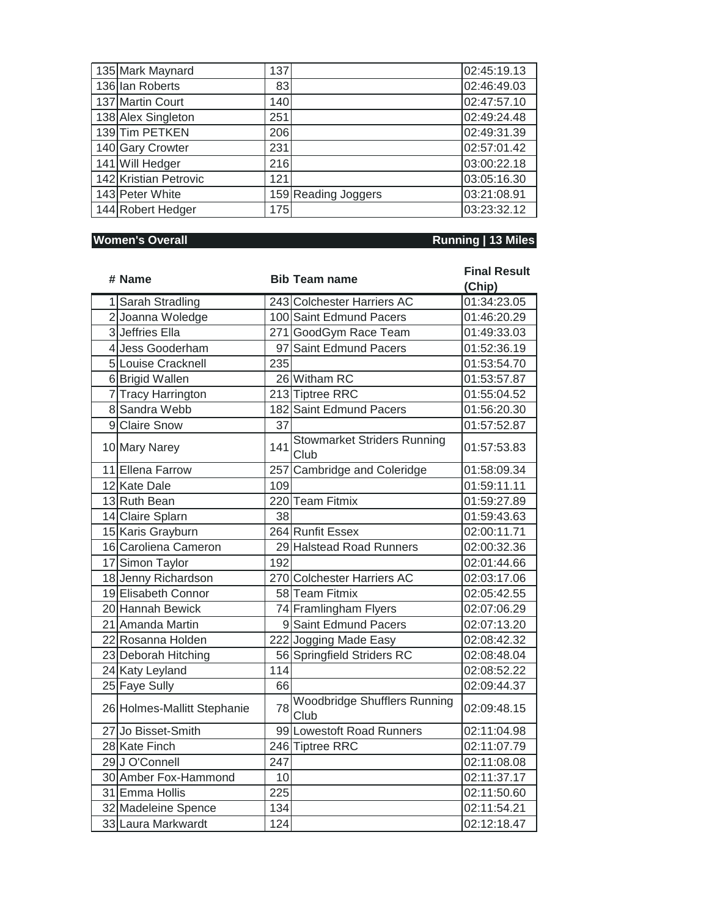| 135 Mark Maynard      | 137 |                     | 02:45:19.13 |
|-----------------------|-----|---------------------|-------------|
| 136 Ian Roberts       | 83  |                     | 02:46:49.03 |
| 137 Martin Court      | 140 |                     | 02:47:57.10 |
| 138 Alex Singleton    | 251 |                     | 02:49:24.48 |
| 139Tim PETKEN         | 206 |                     | 02:49:31.39 |
| 140 Gary Crowter      | 231 |                     | 02:57:01.42 |
| 141 Will Hedger       | 216 |                     | 03:00:22.18 |
| 142 Kristian Petrovic | 121 |                     | 03:05:16.30 |
| 143 Peter White       |     | 159 Reading Joggers | 03:21:08.91 |
| 144 Robert Hedger     | 175 |                     | 03:23:32.12 |

## **Momen's Overall <b>Running** | 13 Miles

|  | # Name                      |     | <b>Bib Team name</b>                        | <b>Final Result</b> |
|--|-----------------------------|-----|---------------------------------------------|---------------------|
|  |                             |     |                                             | (Chip)              |
|  | 1 Sarah Stradling           |     | 243 Colchester Harriers AC                  | 01:34:23.05         |
|  | 2 Joanna Woledge            |     | 100 Saint Edmund Pacers                     | 01:46:20.29         |
|  | 3 Jeffries Ella             |     | 271 GoodGym Race Team                       | 01:49:33.03         |
|  | 4 Jess Gooderham            |     | 97 Saint Edmund Pacers                      | 01:52:36.19         |
|  | 5 Louise Cracknell          | 235 |                                             | 01:53:54.70         |
|  | 6 Brigid Wallen             |     | 26 Witham RC                                | 01:53:57.87         |
|  | 7 Tracy Harrington          |     | 213 Tiptree RRC                             | 01:55:04.52         |
|  | 8 Sandra Webb               |     | 182 Saint Edmund Pacers                     | 01:56:20.30         |
|  | 9 Claire Snow               | 37  |                                             | 01:57:52.87         |
|  | 10 Mary Narey               | 141 | <b>Stowmarket Striders Running</b><br>Club  | 01:57:53.83         |
|  | 11 Ellena Farrow            | 257 | Cambridge and Coleridge                     | 01:58:09.34         |
|  | 12 Kate Dale                | 109 |                                             | 01:59:11.11         |
|  | 13 Ruth Bean                |     | 220 Team Fitmix                             | 01:59:27.89         |
|  | 14 Claire Splarn            | 38  |                                             | 01:59:43.63         |
|  | 15 Karis Grayburn           |     | 264 Runfit Essex                            | 02:00:11.71         |
|  | 16 Caroliena Cameron        |     | 29 Halstead Road Runners                    | 02:00:32.36         |
|  | 17 Simon Taylor             | 192 |                                             | 02:01:44.66         |
|  | 18 Jenny Richardson         |     | 270 Colchester Harriers AC                  | 02:03:17.06         |
|  | 19 Elisabeth Connor         |     | 58 Team Fitmix                              | 02:05:42.55         |
|  | 20 Hannah Bewick            |     | 74 Framlingham Flyers                       | 02:07:06.29         |
|  | 21 Amanda Martin            |     | 9 Saint Edmund Pacers                       | 02:07:13.20         |
|  | 22 Rosanna Holden           |     | 222 Jogging Made Easy                       | 02:08:42.32         |
|  | 23 Deborah Hitching         |     | 56 Springfield Striders RC                  | 02:08:48.04         |
|  | 24 Katy Leyland             | 114 |                                             | 02:08:52.22         |
|  | 25 Faye Sully               | 66  |                                             | 02:09:44.37         |
|  | 26 Holmes-Mallitt Stephanie | 78  | <b>Woodbridge Shufflers Running</b><br>Club | 02:09:48.15         |
|  | 27 Jo Bisset-Smith          |     | 99 Lowestoft Road Runners                   | 02:11:04.98         |
|  | 28 Kate Finch               |     | 246 Tiptree RRC                             | 02:11:07.79         |
|  | 29 J O'Connell              | 247 |                                             | 02:11:08.08         |
|  | 30 Amber Fox-Hammond        | 10  |                                             | 02:11:37.17         |
|  | 31 Emma Hollis              | 225 |                                             | 02:11:50.60         |
|  | 32 Madeleine Spence         | 134 |                                             | 02:11:54.21         |
|  | 33 Laura Markwardt          | 124 |                                             | 02:12:18.47         |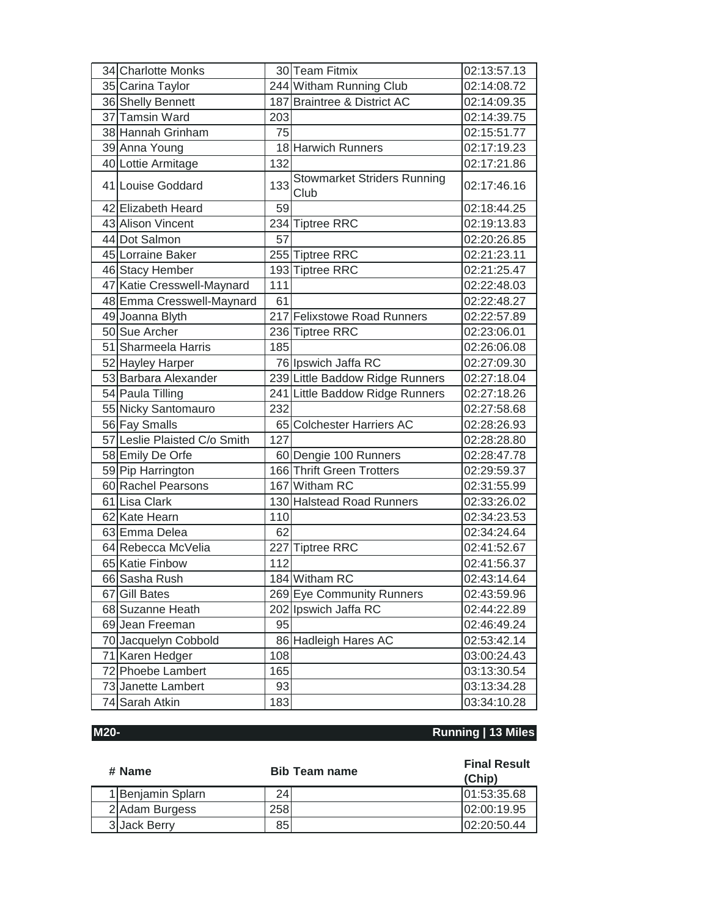| 34 Charlotte Monks           |     | 30 Team Fitmix                             | 02:13:57.13 |
|------------------------------|-----|--------------------------------------------|-------------|
| 35 Carina Taylor             |     | 244 Witham Running Club                    | 02:14:08.72 |
| 36 Shelly Bennett            |     | 187 Braintree & District AC                | 02:14:09.35 |
| 37 Tamsin Ward               | 203 |                                            | 02:14:39.75 |
| 38 Hannah Grinham            | 75  |                                            | 02:15:51.77 |
| 39 Anna Young                |     | 18 Harwich Runners                         | 02:17:19.23 |
| 40 Lottie Armitage           | 132 |                                            | 02:17:21.86 |
| 41 Louise Goddard            | 133 | <b>Stowmarket Striders Running</b><br>Club | 02:17:46.16 |
| 42 Elizabeth Heard           | 59  |                                            | 02:18:44.25 |
| 43 Alison Vincent            |     | 234 Tiptree RRC                            | 02:19:13.83 |
| 44 Dot Salmon                | 57  |                                            | 02:20:26.85 |
| 45 Lorraine Baker            |     | 255 Tiptree RRC                            | 02:21:23.11 |
| 46 Stacy Hember              |     | 193 Tiptree RRC                            | 02:21:25.47 |
| 47 Katie Cresswell-Maynard   | 111 |                                            | 02:22:48.03 |
| 48 Emma Cresswell-Maynard    | 61  |                                            | 02:22:48.27 |
| 49 Joanna Blyth              |     | 217 Felixstowe Road Runners                | 02:22:57.89 |
| 50 Sue Archer                |     | 236 Tiptree RRC                            | 02:23:06.01 |
| 51 Sharmeela Harris          | 185 |                                            | 02:26:06.08 |
| 52 Hayley Harper             |     | 76 Ipswich Jaffa RC                        | 02:27:09.30 |
| 53 Barbara Alexander         |     | 239 Little Baddow Ridge Runners            | 02:27:18.04 |
| 54 Paula Tilling             |     | 241 Little Baddow Ridge Runners            | 02:27:18.26 |
| 55 Nicky Santomauro          | 232 |                                            | 02:27:58.68 |
| 56 Fay Smalls                |     | 65 Colchester Harriers AC                  | 02:28:26.93 |
| 57 Leslie Plaisted C/o Smith | 127 |                                            | 02:28:28.80 |
| 58 Emily De Orfe             |     | 60 Dengie 100 Runners                      | 02:28:47.78 |
| 59 Pip Harrington            |     | 166 Thrift Green Trotters                  | 02:29:59.37 |
| 60 Rachel Pearsons           |     | 167 Witham RC                              | 02:31:55.99 |
| 61 Lisa Clark                |     | 130 Halstead Road Runners                  | 02:33:26.02 |
| 62 Kate Hearn                | 110 |                                            | 02:34:23.53 |
| 63 Emma Delea                | 62  |                                            | 02:34:24.64 |
| 64 Rebecca McVelia           |     | 227 Tiptree RRC                            | 02:41:52.67 |
| 65 Katie Finbow              | 112 |                                            | 02:41:56.37 |
| 66 Sasha Rush                |     | 184 Witham RC                              | 02:43:14.64 |
| 67 Gill Bates                |     | 269 Eye Community Runners                  | 02:43:59.96 |
| 68 Suzanne Heath             |     | 202 Ipswich Jaffa RC                       | 02:44:22.89 |
| 69 Jean Freeman              | 95  |                                            | 02:46:49.24 |
| 70 Jacquelyn Cobbold         |     | 86 Hadleigh Hares AC                       | 02:53:42.14 |
| 71 Karen Hedger              | 108 |                                            | 03:00:24.43 |
| 72 Phoebe Lambert            | 165 |                                            | 03:13:30.54 |
| 73 Janette Lambert           | 93  |                                            | 03:13:34.28 |
| 74 Sarah Atkin               | 183 |                                            | 03:34:10.28 |

### **M20- Running | 13 Miles**

| # Name            | <b>Bib Team name</b> | <b>Final Result</b><br>(Chip) |
|-------------------|----------------------|-------------------------------|
| 1 Benjamin Splarn | 24                   | 101:53:35.68                  |
| 2 Adam Burgess    | 258                  | 02:00:19.95                   |
| 3 Jack Berry      | 85                   | 02:20:50.44                   |